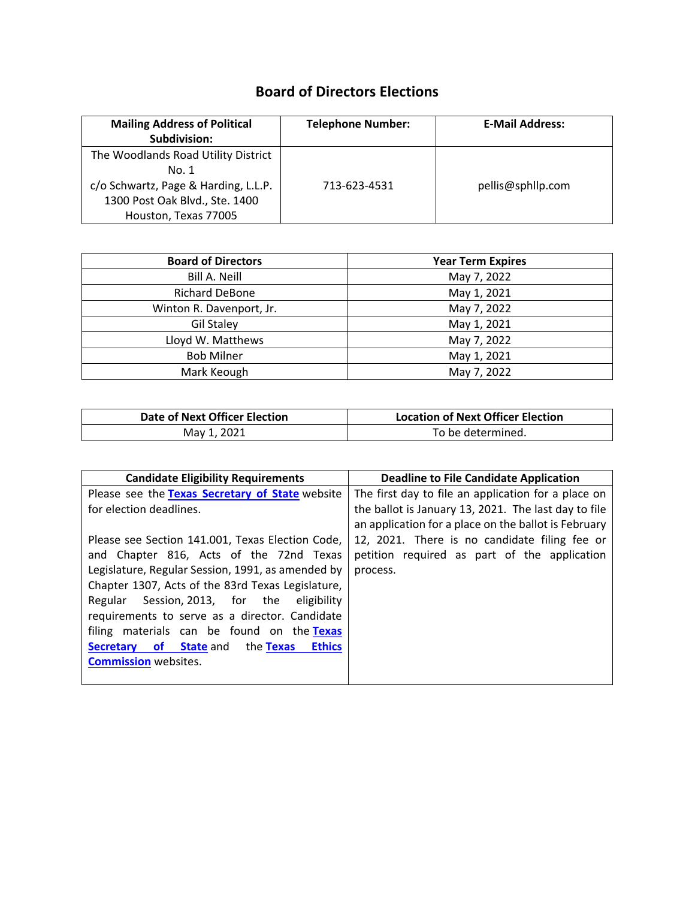## **Board of Directors Elections**

| <b>Mailing Address of Political</b><br>Subdivision:                                                                                            | <b>Telephone Number:</b> | <b>E-Mail Address:</b> |
|------------------------------------------------------------------------------------------------------------------------------------------------|--------------------------|------------------------|
| The Woodlands Road Utility District<br>No. 1<br>c/o Schwartz, Page & Harding, L.L.P.<br>1300 Post Oak Blvd., Ste. 1400<br>Houston, Texas 77005 | 713-623-4531             | pellis@sphllp.com      |

| <b>Board of Directors</b> | <b>Year Term Expires</b> |
|---------------------------|--------------------------|
| <b>Bill A. Neill</b>      | May 7, 2022              |
| <b>Richard DeBone</b>     | May 1, 2021              |
| Winton R. Davenport, Jr.  | May 7, 2022              |
| <b>Gil Staley</b>         | May 1, 2021              |
| Lloyd W. Matthews         | May 7, 2022              |
| <b>Bob Milner</b>         | May 1, 2021              |
| Mark Keough               | May 7, 2022              |

| Date of Next Officer Election | <b>Location of Next Officer Election</b> |
|-------------------------------|------------------------------------------|
| May 1, 2021                   | To be determined.                        |

| <b>Candidate Eligibility Requirements</b>                | Deadline to File Candidate Application               |
|----------------------------------------------------------|------------------------------------------------------|
| Please see the Texas Secretary of State website          | The first day to file an application for a place on  |
| for election deadlines.                                  | the ballot is January 13, 2021. The last day to file |
|                                                          | an application for a place on the ballot is February |
| Please see Section 141.001, Texas Election Code,         | 12, 2021. There is no candidate filing fee or        |
| and Chapter 816, Acts of the 72nd Texas                  | petition required as part of the application         |
| Legislature, Regular Session, 1991, as amended by        | process.                                             |
| Chapter 1307, Acts of the 83rd Texas Legislature,        |                                                      |
| Regular Session, 2013, for the<br>eligibility            |                                                      |
| requirements to serve as a director. Candidate           |                                                      |
| filing materials can be found on the Texas               |                                                      |
| <b>Secretary of State and the Texas</b><br><b>Ethics</b> |                                                      |
| <b>Commission</b> websites.                              |                                                      |
|                                                          |                                                      |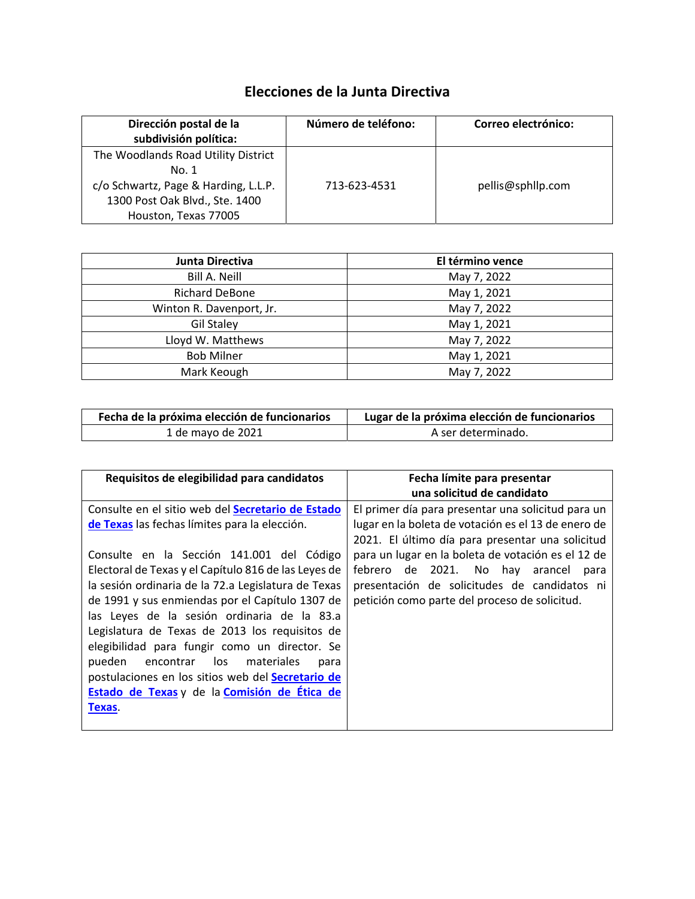## **Elecciones de la Junta Directiva**

| Dirección postal de la<br>subdivisión política:                                                                                                | Número de teléfono: | Correo electrónico: |
|------------------------------------------------------------------------------------------------------------------------------------------------|---------------------|---------------------|
| The Woodlands Road Utility District<br>No. 1<br>c/o Schwartz, Page & Harding, L.L.P.<br>1300 Post Oak Blvd., Ste. 1400<br>Houston, Texas 77005 | 713-623-4531        | pellis@sphllp.com   |

| Junta Directiva          | El término vence |
|--------------------------|------------------|
| <b>Bill A. Neill</b>     | May 7, 2022      |
| <b>Richard DeBone</b>    | May 1, 2021      |
| Winton R. Davenport, Jr. | May 7, 2022      |
| <b>Gil Staley</b>        | May 1, 2021      |
| Lloyd W. Matthews        | May 7, 2022      |
| <b>Bob Milner</b>        | May 1, 2021      |
| Mark Keough              | May 7, 2022      |

| Fecha de la próxima elección de funcionarios | Lugar de la próxima elección de funcionarios |
|----------------------------------------------|----------------------------------------------|
| 1 de mayo de 2021                            | A ser determinado.                           |

| Requisitos de elegibilidad para candidatos                                                         | Fecha límite para presentar                                                                               |
|----------------------------------------------------------------------------------------------------|-----------------------------------------------------------------------------------------------------------|
|                                                                                                    | una solicitud de candidato                                                                                |
| Consulte en el sitio web del Secretario de Estado<br>de Texas las fechas límites para la elección. | El primer día para presentar una solicitud para un<br>lugar en la boleta de votación es el 13 de enero de |
|                                                                                                    | 2021. El último día para presentar una solicitud                                                          |
| Consulte en la Sección 141.001 del Código                                                          | para un lugar en la boleta de votación es el 12 de                                                        |
| Electoral de Texas y el Capítulo 816 de las Leyes de                                               | febrero de 2021. No hay arancel<br>para                                                                   |
| la sesión ordinaria de la 72.a Legislatura de Texas                                                | presentación de solicitudes de candidatos ni                                                              |
| de 1991 y sus enmiendas por el Capítulo 1307 de                                                    | petición como parte del proceso de solicitud.                                                             |
| las Leyes de la sesión ordinaria de la 83.a                                                        |                                                                                                           |
| Legislatura de Texas de 2013 los requisitos de                                                     |                                                                                                           |
| elegibilidad para fungir como un director. Se                                                      |                                                                                                           |
| encontrar los materiales<br>pueden<br>para                                                         |                                                                                                           |
| postulaciones en los sitios web del Secretario de                                                  |                                                                                                           |
| Estado de Texas y de la Comisión de Ética de                                                       |                                                                                                           |
| Texas.                                                                                             |                                                                                                           |
|                                                                                                    |                                                                                                           |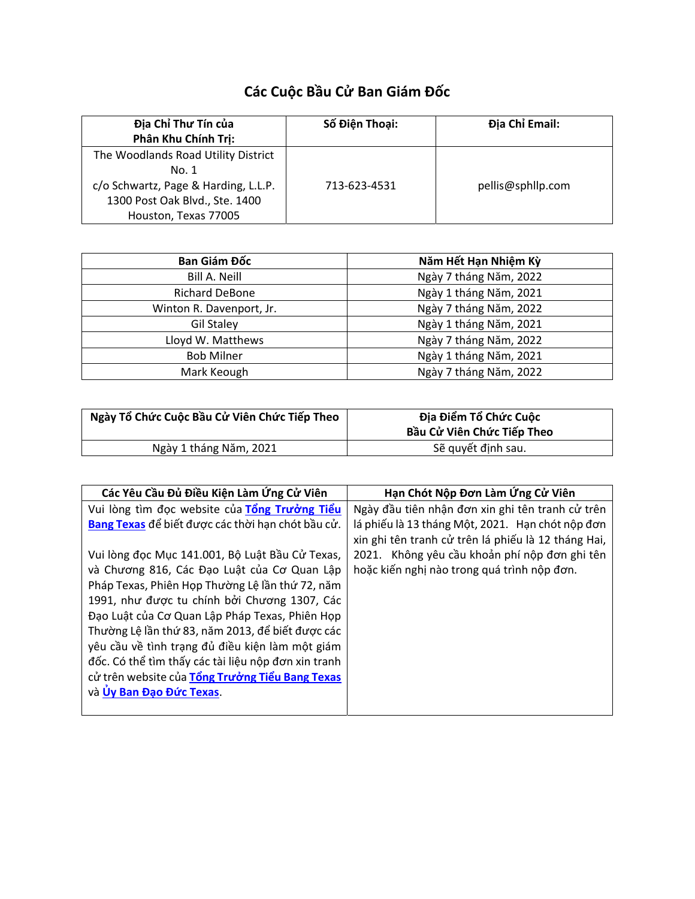## **Các Cuộc Bầu Cử Ban Giám Đốc**

| Địa Chỉ Thư Tín của<br>Phân Khu Chính Trị:                                                                                                     | Số Điện Thoại: | Địa Chỉ Email:    |
|------------------------------------------------------------------------------------------------------------------------------------------------|----------------|-------------------|
| The Woodlands Road Utility District<br>No. 1<br>c/o Schwartz, Page & Harding, L.L.P.<br>1300 Post Oak Blvd., Ste. 1400<br>Houston, Texas 77005 | 713-623-4531   | pellis@sphllp.com |

| Ban Giám Đốc             | Năm Hết Hạn Nhiệm Kỳ   |
|--------------------------|------------------------|
| <b>Bill A. Neill</b>     | Ngày 7 tháng Năm, 2022 |
| <b>Richard DeBone</b>    | Ngày 1 tháng Năm, 2021 |
| Winton R. Davenport, Jr. | Ngày 7 tháng Năm, 2022 |
| <b>Gil Staley</b>        | Ngày 1 tháng Năm, 2021 |
| Lloyd W. Matthews        | Ngày 7 tháng Năm, 2022 |
| <b>Bob Milner</b>        | Ngày 1 tháng Năm, 2021 |
| Mark Keough              | Ngày 7 tháng Năm, 2022 |

| Ngày Tổ Chức Cuộc Bầu Cử Viên Chức Tiếp Theo | Địa Điểm Tổ Chức Cuộc<br>Bầu Cử Viên Chức Tiếp Theo |
|----------------------------------------------|-----------------------------------------------------|
| Ngày 1 tháng Năm, 2021                       | Sẽ quyết định sau.                                  |

| Các Yêu Cầu Đủ Điều Kiện Làm Ứng Cử Viên            | Hạn Chót Nộp Đơn Làm Ứng Cử Viên                    |
|-----------------------------------------------------|-----------------------------------------------------|
| Vui lòng tìm đọc website của Tổng Trưởng Tiểu       | Ngày đầu tiên nhận đơn xin ghi tên tranh cử trên    |
| Bang Texas để biết được các thời hạn chót bầu cử.   | lá phiếu là 13 tháng Một, 2021. Hạn chót nộp đơn    |
|                                                     | xin ghi tên tranh cử trên lá phiếu là 12 tháng Hai, |
| Vui lòng đọc Mục 141.001, Bộ Luật Bầu Cử Texas,     | 2021. Không yêu cầu khoản phí nộp đơn ghi tên       |
| và Chương 816, Các Đạo Luật của Cơ Quan Lập         | hoặc kiến nghị nào trong quá trình nộp đơn.         |
| Pháp Texas, Phiên Họp Thường Lê lần thứ 72, năm     |                                                     |
| 1991, như được tu chính bởi Chương 1307, Các        |                                                     |
| Đạo Luật của Cơ Quan Lập Pháp Texas, Phiên Họp      |                                                     |
| Thường Lệ lần thứ 83, năm 2013, để biết được các    |                                                     |
| yêu cầu về tình trạng đủ điều kiện làm một giám     |                                                     |
| đốc. Có thể tìm thấy các tài liệu nộp đơn xin tranh |                                                     |
| cử trên website của Tổng Trưởng Tiểu Bang Texas     |                                                     |
| và Úy Ban Đạo Đức Texas.                            |                                                     |
|                                                     |                                                     |